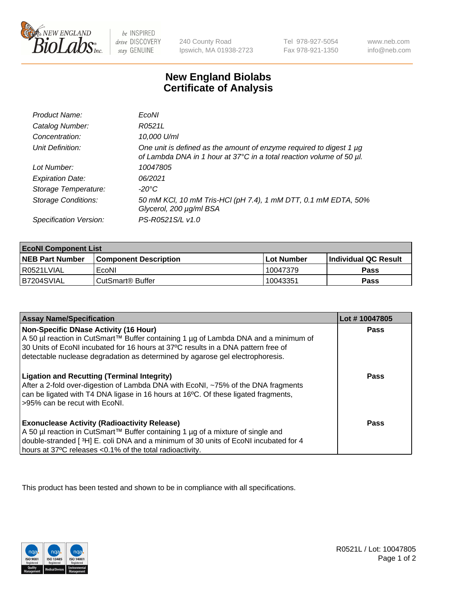

 $be$  INSPIRED drive DISCOVERY stay GENUINE

240 County Road Ipswich, MA 01938-2723 Tel 978-927-5054 Fax 978-921-1350 www.neb.com info@neb.com

## **New England Biolabs Certificate of Analysis**

| Product Name:              | EcoNI                                                                                                                                            |
|----------------------------|--------------------------------------------------------------------------------------------------------------------------------------------------|
| Catalog Number:            | R0521L                                                                                                                                           |
| Concentration:             | 10,000 U/ml                                                                                                                                      |
| Unit Definition:           | One unit is defined as the amount of enzyme required to digest 1 $\mu$ g<br>of Lambda DNA in 1 hour at 37°C in a total reaction volume of 50 µl. |
| Lot Number:                | 10047805                                                                                                                                         |
| <b>Expiration Date:</b>    | 06/2021                                                                                                                                          |
| Storage Temperature:       | -20°C                                                                                                                                            |
| <b>Storage Conditions:</b> | 50 mM KCl, 10 mM Tris-HCl (pH 7.4), 1 mM DTT, 0.1 mM EDTA, 50%<br>Glycerol, 200 µg/ml BSA                                                        |
| Specification Version:     | PS-R0521S/L v1.0                                                                                                                                 |

| <b>EcoNI Component List</b> |                         |              |                             |  |
|-----------------------------|-------------------------|--------------|-----------------------------|--|
| <b>NEB Part Number</b>      | l Component Description | l Lot Number | <b>Individual QC Result</b> |  |
| I R0521LVIAL                | EcoNI                   | 10047379     | <b>Pass</b>                 |  |
| B7204SVIAL                  | l CutSmart® Buffer      | 10043351     | Pass                        |  |

| <b>Assay Name/Specification</b>                                                                                                                                                                                                                                                                           | Lot #10047805 |
|-----------------------------------------------------------------------------------------------------------------------------------------------------------------------------------------------------------------------------------------------------------------------------------------------------------|---------------|
| <b>Non-Specific DNase Activity (16 Hour)</b><br>A 50 µl reaction in CutSmart™ Buffer containing 1 µg of Lambda DNA and a minimum of<br>30 Units of EcoNI incubated for 16 hours at 37°C results in a DNA pattern free of<br>detectable nuclease degradation as determined by agarose gel electrophoresis. | Pass          |
| <b>Ligation and Recutting (Terminal Integrity)</b><br>After a 2-fold over-digestion of Lambda DNA with EcoNI, ~75% of the DNA fragments<br>can be ligated with T4 DNA ligase in 16 hours at 16°C. Of these ligated fragments,<br>>95% can be recut with EcoNI.                                            | Pass          |
| <b>Exonuclease Activity (Radioactivity Release)</b><br>A 50 µl reaction in CutSmart™ Buffer containing 1 µg of a mixture of single and<br>double-stranded [3H] E. coli DNA and a minimum of 30 units of EcoNI incubated for 4<br>hours at 37°C releases <0.1% of the total radioactivity.                 | Pass          |

This product has been tested and shown to be in compliance with all specifications.